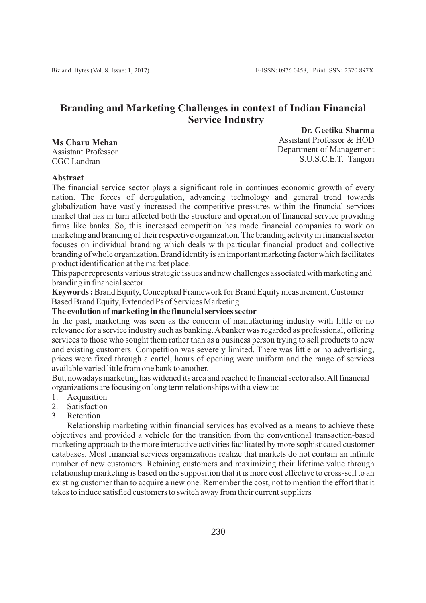# **Branding and Marketing Challenges in context of Indian Financial Service Industry**

**Dr. Geetika Sharma**

**Ms Charu Mehan** Assistant Professor CGC Landran

Assistant Professor & HOD Department of Management S.U.S.C.E.T. Tangori

#### **Abstract**

The financial service sector plays a significant role in continues economic growth of every nation. The forces of deregulation, advancing technology and general trend towards globalization have vastly increased the competitive pressures within the financial services market that has in turn affected both the structure and operation of financial service providing firms like banks. So, this increased competition has made financial companies to work on marketing and branding of their respective organization. The branding activity in financial sector focuses on individual branding which deals with particular financial product and collective branding of whole organization. Brand identity is an important marketing factor which facilitates product identification at the market place.

This paper represents various strategic issues and new challenges associated with marketing and branding in financial sector.

**Keywords:**Brand Equity, Conceptual Framework for Brand Equity measurement, Customer Based Brand Equity, Extended Ps of Services Marketing

#### **The evolution of marketing in the financial services sector**

In the past, marketing was seen as the concern of manufacturing industry with little or no relevance for a service industry such as banking. Abanker was regarded as professional, offering services to those who sought them rather than as a business person trying to sell products to new and existing customers. Competition was severely limited. There was little or no advertising, prices were fixed through a cartel, hours of opening were uniform and the range of services available varied little from one bank to another.

But, nowadays marketing has widened its area and reached to financial sector also. All financial organizations are focusing on long term relationships with a view to:

- 1. Acquisition
- 2. Satisfaction
- 3. Retention

Relationship marketing within financial services has evolved as a means to achieve these objectives and provided a vehicle for the transition from the conventional transaction-based marketing approach to the more interactive activities facilitated by more sophisticated customer databases. Most financial services organizations realize that markets do not contain an infinite number of new customers. Retaining customers and maximizing their lifetime value through relationship marketing is based on the supposition that it is more cost effective to cross-sell to an existing customer than to acquire a new one. Remember the cost, not to mention the effort that it takes to induce satisfied customers to switch away from their current suppliers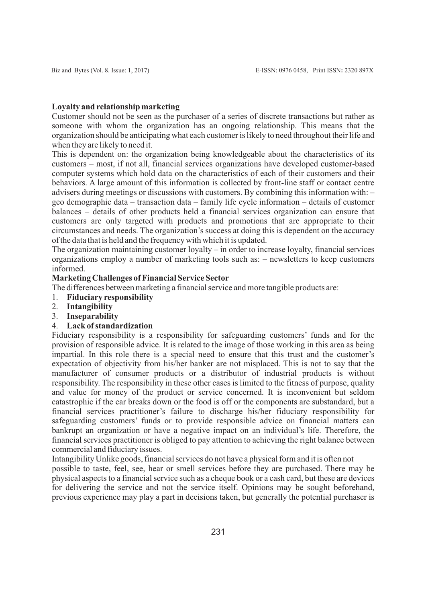### **Loyalty and relationship marketing**

Customer should not be seen as the purchaser of a series of discrete transactions but rather as someone with whom the organization has an ongoing relationship. This means that the organization should be anticipating what each customer is likely to need throughout their life and when they are likely to need it.

This is dependent on: the organization being knowledgeable about the characteristics of its customers – most, if not all, financial services organizations have developed customer-based computer systems which hold data on the characteristics of each of their customers and their behaviors. A large amount of this information is collected by front-line staff or contact centre advisers during meetings or discussions with customers. By combining this information with: – geo demographic data – transaction data – family life cycle information – details of customer balances – details of other products held a financial services organization can ensure that customers are only targeted with products and promotions that are appropriate to their circumstances and needs. The organization's success at doing this is dependent on the accuracy of the data that is held and the frequency with which it is updated.

The organization maintaining customer loyalty – in order to increase loyalty, financial services organizations employ a number of marketing tools such as: – newsletters to keep customers informed.

## **Marketing Challenges of Financial Service Sector**

The differences between marketing a financial service and more tangible products are:

- 1. **Fiduciary responsibility**
- 2. **Intangibility**
- 3. **Inseparability**

## 4. **Lack of standardization**

Fiduciary responsibility is a responsibility for safeguarding customers' funds and for the provision of responsible advice. It is related to the image of those working in this area as being impartial. In this role there is a special need to ensure that this trust and the customer's expectation of objectivity from his/her banker are not misplaced. This is not to say that the manufacturer of consumer products or a distributor of industrial products is without responsibility. The responsibility in these other cases is limited to the fitness of purpose, quality and value for money of the product or service concerned. It is inconvenient but seldom catastrophic if the car breaks down or the food is off or the components are substandard, but a financial services practitioner's failure to discharge his/her fiduciary responsibility for safeguarding customers' funds or to provide responsible advice on financial matters can bankrupt an organization or have a negative impact on an individual's life. Therefore, the financial services practitioner is obliged to pay attention to achieving the right balance between commercial and fiduciary issues.

Intangibility Unlike goods, financial services do not have a physical form and it is often not

possible to taste, feel, see, hear or smell services before they are purchased. There may be physical aspects to a financial service such as a cheque book or a cash card, but these are devices for delivering the service and not the service itself. Opinions may be sought beforehand, previous experience may play a part in decisions taken, but generally the potential purchaser is